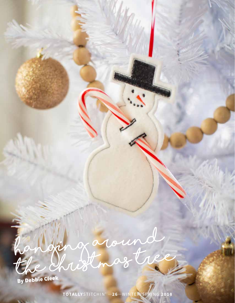